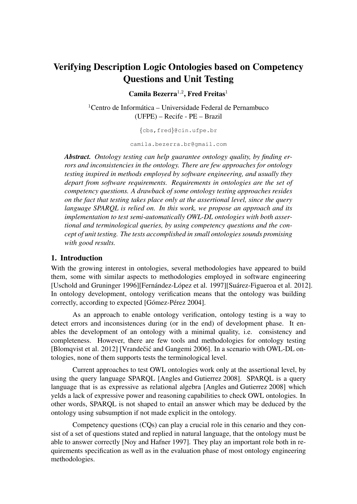# Verifying Description Logic Ontologies based on Competency Questions and Unit Testing

Camila Bezerra<sup>1,2</sup>, Fred Freitas<sup>1</sup>

 $1$ Centro de Informática – Universidade Federal de Pernambuco (UFPE) – Recife - PE – Brazil

{cbs,fred}@cin.ufpe.br

camila.bezerra.br@gmail.com

*Abstract. Ontology testing can help guarantee ontology quality, by finding errors and inconsistencies in the ontology. There are few approaches for ontology testing inspired in methods employed by software engineering, and usually they depart from software requirements. Requirements in ontologies are the set of competency questions. A drawback of some ontology testing approaches resides on the fact that testing takes place only at the assertional level, since the query language SPARQL is relied on. In this work, we propose an approach and its implementation to test semi-automatically OWL-DL ontologies with both assertional and terminological queries, by using competency questions and the concept of unit testing. The tests accomplished in small ontologies sounds promising with good results.*

#### 1. Introduction

With the growing interest in ontologies, several methodologies have appeared to build them, some with similar aspects to methodologies employed in software engineering [Uschold and Gruninger 1996][Fernández-López et al. 1997][Suárez-Figueroa et al. 2012]. In ontology development, ontology verification means that the ontology was building correctly, according to expected [Gómez-Pérez 2004].

As an approach to enable ontology verification, ontology testing is a way to detect errors and inconsistences during (or in the end) of development phase. It enables the development of an ontology with a minimal quality, i.e. consistency and completeness. However, there are few tools and methodologies for ontology testing [Blomqvist et al. 2012] [Vrandečić and Gangemi 2006]. In a scenario with OWL-DL ontologies, none of them supports tests the terminological level.

Current approaches to test OWL ontologies work only at the assertional level, by using the query language SPARQL [Angles and Gutierrez 2008]. SPARQL is a query language that is as expressive as relational algebra [Angles and Gutierrez 2008] which yelds a lack of expressive power and reasoning capabilities to check OWL ontologies. In other words, SPARQL is not shaped to entail an answer which may be deduced by the ontology using subsumption if not made explicit in the ontology.

Competency questions (CQs) can play a crucial role in this cenario and they consist of a set of questions stated and replied in natural language, that the ontology must be able to answer correctly [Noy and Hafner 1997]. They play an important role both in requirements specification as well as in the evaluation phase of most ontology engineering methodologies.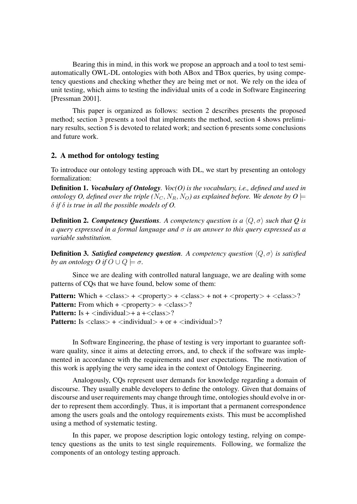Bearing this in mind, in this work we propose an approach and a tool to test semiautomatically OWL-DL ontologies with both ABox and TBox queries, by using competency questions and checking whether they are being met or not. We rely on the idea of unit testing, which aims to testing the individual units of a code in Software Engineering [Pressman 2001].

This paper is organized as follows: section 2 describes presents the proposed method; section 3 presents a tool that implements the method, section 4 shows preliminary results, section 5 is devoted to related work; and section 6 presents some conclusions and future work.

# 2. A method for ontology testing

To introduce our ontology testing approach with DL, we start by presenting an ontology formalization:

Definition 1. *Vocabulary of Ontology. Voc(O) is the vocabulary, i.e., defined and used in ontology O, defined over the triple*  $(N_C, N_R, N_O)$  as explained before. We denote by  $O \models$ δ *if* δ *is true in all the possible models of O.*

**Definition 2. Competency Questions**. A competency question is a  $\langle Q, \sigma \rangle$  such that Q is *a query expressed in a formal language and* σ *is an answer to this query expressed as a variable substitution.*

**Definition 3. Satisfied competency question**. A competency question  $\langle Q, \sigma \rangle$  is satisfied *by an ontology O if*  $O \cup Q \models \sigma$ .

Since we are dealing with controlled natural language, we are dealing with some patterns of CQs that we have found, below some of them:

**Pattern:** Which  $+ <$  class >  $+ <$  property >  $+ <$  class >  $+$  not  $+ <$  property >  $+ <$  class >? **Pattern:** From which  $+$  <property >  $+$  <class>? **Pattern:** Is  $+$   $\langle$  individual $>$  $+$  a  $+$  $\langle$  class $>$ ? **Pattern:** Is  $\langle \text{class} \rangle$  +  $\langle \text{individual} \rangle$  + or +  $\langle \text{individual} \rangle$ ?

In Software Engineering, the phase of testing is very important to guarantee software quality, since it aims at detecting errors, and, to check if the software was implemented in accordance with the requirements and user expectations. The motivation of this work is applying the very same idea in the context of Ontology Engineering.

Analogously, CQs represent user demands for knowledge regarding a domain of discourse. They usually enable developers to define the ontology. Given that domains of discourse and user requirements may change through time, ontologies should evolve in order to represent them accordingly. Thus, it is important that a permanent correspondence among the users goals and the ontology requirements exists. This must be accomplished using a method of systematic testing.

In this paper, we propose description logic ontology testing, relying on competency questions as the units to test single requirements. Following, we formalize the components of an ontology testing approach.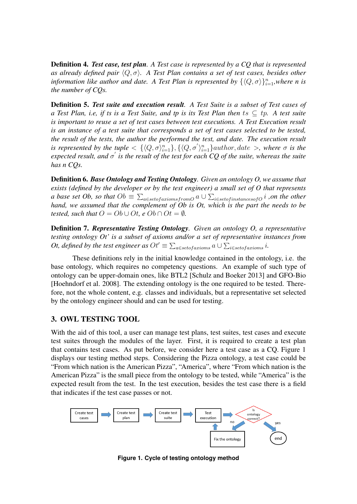Definition 4. *Test case, test plan. A Test case is represented by a CQ that is represented as already defined pair*  $\langle Q, \sigma \rangle$ *. A Test Plan contains a set of test cases, besides other information like author and date. A Test Plan is represented by*  $\{\langle Q, \sigma \rangle\}_{i=1}^n$ , where n is *the number of CQs.*

Definition 5. *Test suite and execution result. A Test Suite is a subset of Test cases of a Test Plan, i.e, if ts is a Test Suite, and tp is its Test Plan then* ts ⊆ tp*. A test suite is important to reuse a set of test cases between test executions. A Test Execution result is an instance of a test suite that corresponds a set of test cases selected to be tested, the result of the tests, the author the performed the test, and date. The execution result is represented by the tuple*  $\langle \langle Q, \sigma \rangle_{i=1}^n \rangle$ ,  $\{\langle Q, \sigma' \rangle_{i=1}^n\}$ *author, date*  $\rangle$ *, where*  $\sigma$  *is the*  $\epsilon$ xpected result, and  $\sigma'$  is the result of the test for each CQ of the suite, whereas the suite *has n CQs.*

Definition 6. *Base Ontology and Testing Ontology. Given an ontology O, we assume that exists (defined by the developer or by the test engineer) a small set of O that represents a base set Ob, so that*  $Ob \equiv \sum_{a \in set of axioms from O} a \cup \sum_{i \in set of instances of O} i$  *,on the other hand, we assumed that the complement of Ob is Ot, which is the part the needs to be tested, such that*  $O = Ob \cup Ot$ , *e*  $Ob \cap Ot = \emptyset$ .

Definition 7. *Representative Testing Ontology. Given an ontology O, a representative testing ontology Ot' is a subset of axioms and/or a set of representative instances from Ot, defined by the test engineer as*  $Ot' \equiv \sum_{a \in set of axioms} a \cup \sum_{i \in set of axioms} i$ *.* 

These definitions rely in the initial knowledge contained in the ontology, i.e. the base ontology, which requires no competency questions. An example of such type of ontology can be upper-domain ones, like BTL2 [Schulz and Boeker 2013] and GFO-Bio [Hoehndorf et al. 2008]. The extending ontology is the one required to be tested. Therefore, not the whole content, e.g. classes and individuals, but a representative set selected by the ontology engineer should and can be used for testing.

#### 3. OWL TESTING TOOL

With the aid of this tool, a user can manage test plans, test suites, test cases and execute test suites through the modules of the layer. First, it is required to create a test plan that contains test cases. As put before, we consider here a test case as a CQ. Figure 1 displays our testing method steps. Considering the Pizza ontology, a test case could be "From which nation is the American Pizza", "America", where "From which nation is the American Pizza" is the small piece from the ontology to be tested, while "America" is the expected result from the test. In the test execution, besides the test case there is a field that indicates if the test case passes or not.



**Figure 1. Cycle of testing ontology method**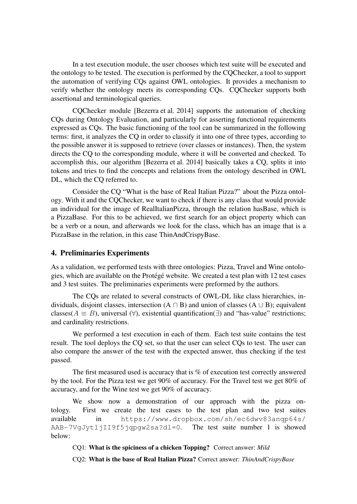In a test execution module, the user chooses which test suite will be executed and the ontology to be tested. The execution is performed by the CQChecker, a tool to support the automation of verifying CQs against OWL ontologies. It provides a mechanism to verify whether the ontology meets its corresponding CQs. CQChecker supports both assertional and terminological queries.

CQChecker module [Bezerra et al. 2014] supports the automation of checking CQs during Ontology Evaluation, and particularly for asserting functional requirements expressed as CQs. The basic functioning of the tool can be summarized in the following terms: first, it analyzes the CQ in order to classify it into one of three types, according to the possible answer it is supposed to retrieve (over classes or instances). Then, the system directs the CQ to the corresponding module, where it will be converted and checked. To accomplish this, our algorithm [Bezerra et al. 2014] basically takes a CQ, splits it into tokens and tries to find the concepts and relations from the ontology described in OWL DL, which the CQ referred to.

Consider the CQ "What is the base of Real Italian Pizza?" about the Pizza ontology. With it and the CQChecker, we want to check if there is any class that would provide an individual for the image of RealItalianPizza, through the relation hasBase, which is a PizzaBase. For this to be achieved, we first search for an object property which can be a verb or a noun, and afterwards we look for the class, which has an image that is a PizzaBase in the relation, in this case ThinAndCrispyBase.

# 4. Preliminaries Experiments

As a validation, we performed tests with three ontologies: Pizza, Travel and Wine ontologies, which are available on the Protégé website. We created a test plan with 12 test cases and 3 test suites. The preliminaries experiments were preformed by the authors.

The CQs are related to several constructs of OWL-DL like class hierarchies, individuals, disjoint classes, intersection  $(A \cap B)$  and union of classes  $(A \cup B)$ ; equivalent classes( $A \equiv B$ ), universal (∀), existential quantification( $\exists$ ) and "has-value" restrictions; and cardinality restrictions.

We performed a test execution in each of them. Each test suite contains the test result. The tool deploys the CQ set, so that the user can select CQs to test. The user can also compare the answer of the test with the expected answer, thus checking if the test passed.

The first measured used is accuracy that is % of execution test correctly answered by the tool. For the Pizza test we get 90% of accuracy. For the Travel test we get 80% of accuracy, and for the Wine test we get 90% of accuracy.

We show now a demonstration of our approach with the pizza ontology. First we create the test cases to the test plan and two test suites available in https://www.dropbox.com/sh/ec6dwv83anqp64s/ AAB-7VgJytljII9f5jqpgw2sa?dl=0. The test suite number 1 is showed below:

CQ1: What is the spiciness of a chicken Topping? Correct answer: *Mild*

CQ2: What is the base of Real Italian Pizza? Correct answer: *ThinAndCrispyBase*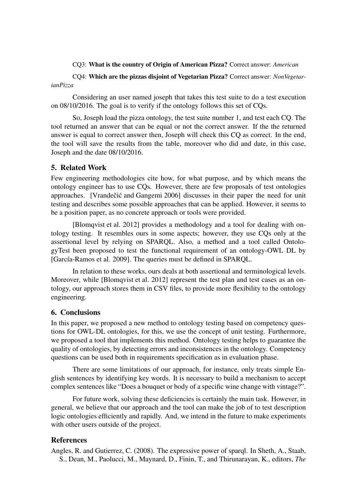#### CQ3: What is the country of Origin of American Pizza? Correct answer: *American*

CQ4: Which are the pizzas disjoint of Vegetarian Pizza? Correct answer: *NonVegetarianPizza*

Considering an user named joseph that takes this test suite to do a test execution on 08/10/2016. The goal is to verify if the ontology follows this set of CQs.

So, Joseph load the pizza ontology, the test suite number 1, and test each CQ. The tool returned an answer that can be equal or not the correct answer. If the the returned answer is equal to correct answer then, Joseph will check this CQ as correct. In the end, the tool will save the results from the table, moreover who did and date, in this case, Joseph and the date 08/10/2016.

## 5. Related Work

Few engineering methodologies cite how, for what purpose, and by which means the ontology engineer has to use CQs. However, there are few proposals of test ontologies approaches. [Vrandečić and Gangemi 2006] discusses in their paper the need for unit testing and describes some possible approaches that can be applied. However, it seems to be a position paper, as no concrete approach or tools were provided.

[Blomqvist et al. 2012] provides a methodology and a tool for dealing with ontology testing. It resembles ours in some aspects; however, they use CQs only at the assertional level by relying on SPARQL. Also, a method and a tool called OntologyTest been proposed to test the functional requirement of an ontology-OWL DL by [García-Ramos et al. 2009]. The queries must be defined in SPARQL.

In relation to these works, ours deals at both assertional and terminological levels. Moreover, while [Blomqvist et al. 2012] represent the test plan and test cases as an ontology, our approach stores them in CSV files, to provide more flexibility to the ontology engineering.

#### 6. Conclusions

In this paper, we proposed a new method to ontology testing based on competency questions for OWL-DL ontologies, for this, we use the concept of unit testing. Furthermore, we proposed a tool that implements this method. Ontology testing helps to guarantee the quality of ontologies, by detecting errors and inconsistences in the ontology. Competency questions can be used both in requirements specification as in evaluation phase.

There are some limitations of our approach, for instance, only treats simple English sentences by identifying key words. It is necessary to build a mechanism to accept complex sentences like "Does a bouquet or body of a specific wine change with vintage?".

For future work, solving these deficiencies is certainly the main task. However, in general, we believe that our approach and the tool can make the job of to test description logic ontologies efficiently and rapidly. And, we intend in the future to make experiments with other users outside of the project.

## **References**

Angles, R. and Gutierrez, C. (2008). The expressive power of sparql. In Sheth, A., Staab, S., Dean, M., Paolucci, M., Maynard, D., Finin, T., and Thirunarayan, K., editors, *The*